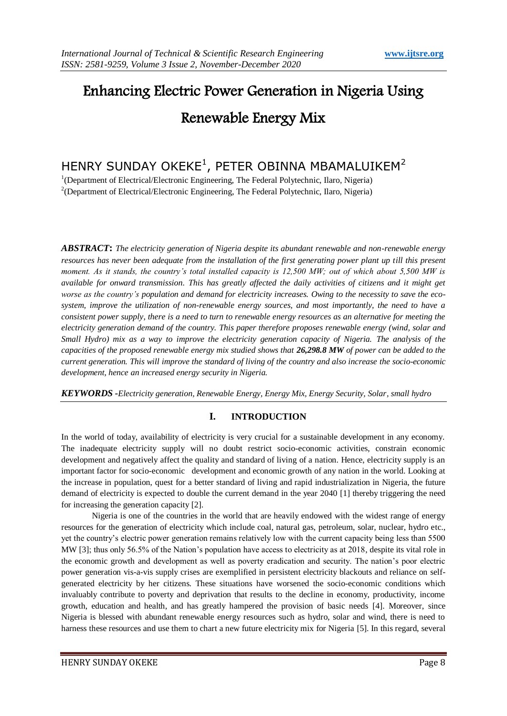# Enhancing Electric Power Generation in Nigeria Using Renewable Energy Mix

## HENRY SUNDAY OKEKE $^1$ , PETER OBINNA MBAMALUIKEM $^2$

<sup>1</sup>(Department of Electrical/Electronic Engineering, The Federal Polytechnic, Ilaro, Nigeria) <sup>2</sup>(Department of Electrical/Electronic Engineering, The Federal Polytechnic, Ilaro, Nigeria)

*ABSTRACT***:** *The electricity generation of Nigeria despite its abundant renewable and non-renewable energy resources has never been adequate from the installation of the first generating power plant up till this present moment. As it stands, the country's total installed capacity is 12,500 MW; out of which about 5,500 MW is available for onward transmission. This has greatly affected the daily activities of citizens and it might get worse as the country's population and demand for electricity increases. Owing to the necessity to save the ecosystem, improve the utilization of non-renewable energy sources, and most importantly, the need to have a consistent power supply, there is a need to turn to renewable energy resources as an alternative for meeting the electricity generation demand of the country. This paper therefore proposes renewable energy (wind, solar and Small Hydro) mix as a way to improve the electricity generation capacity of Nigeria. The analysis of the capacities of the proposed renewable energy mix studied shows that 26,298.8 MW of power can be added to the current generation. This will improve the standard of living of the country and also increase the socio-economic development, hence an increased energy security in Nigeria.* 

*KEYWORDS -Electricity generation, Renewable Energy, Energy Mix, Energy Security, Solar, small hydro*

#### **I. INTRODUCTION**

In the world of today, availability of electricity is very crucial for a sustainable development in any economy. The inadequate electricity supply will no doubt restrict socio-economic activities, constrain economic development and negatively affect the quality and standard of living of a nation. Hence, electricity supply is an important factor for socio-economic development and economic growth of any nation in the world. Looking at the increase in population, quest for a better standard of living and rapid industrialization in Nigeria, the future demand of electricity is expected to double the current demand in the year 2040 [1] thereby triggering the need for increasing the generation capacity [2].

Nigeria is one of the countries in the world that are heavily endowed with the widest range of energy resources for the generation of electricity which include coal, natural gas, petroleum, solar, nuclear, hydro etc., yet the country's electric power generation remains relatively low with the current capacity being less than 5500 MW [3]; thus only 56.5% of the Nation's population have access to electricity as at 2018, despite its vital role in the economic growth and development as well as poverty eradication and security. The nation's poor electric power generation vis-a-vis supply crises are exemplified in persistent electricity blackouts and reliance on selfgenerated electricity by her citizens. These situations have worsened the socio-economic conditions which invaluably contribute to poverty and deprivation that results to the decline in economy, productivity, income growth, education and health, and has greatly hampered the provision of basic needs [4]. Moreover, since Nigeria is blessed with abundant renewable energy resources such as hydro, solar and wind, there is need to harness these resources and use them to chart a new future electricity mix for Nigeria [5]. In this regard, several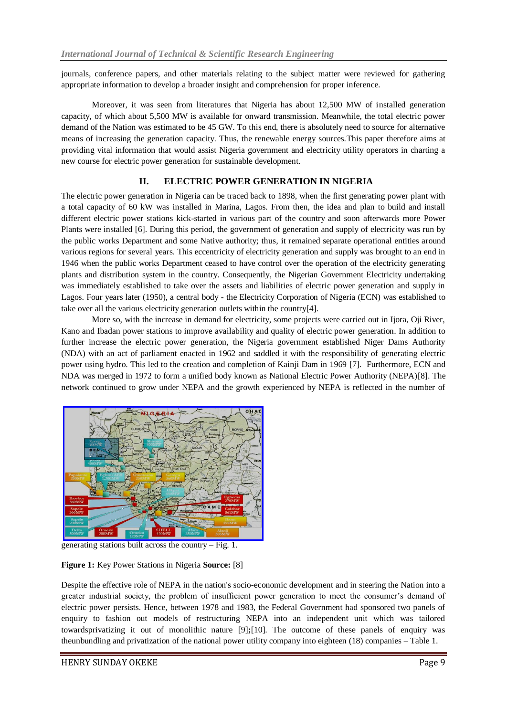journals, conference papers, and other materials relating to the subject matter were reviewed for gathering appropriate information to develop a broader insight and comprehension for proper inference.

Moreover, it was seen from literatures that Nigeria has about 12,500 MW of installed generation capacity, of which about 5,500 MW is available for onward transmission. Meanwhile, the total electric power demand of the Nation was estimated to be 45 GW. To this end, there is absolutely need to source for alternative means of increasing the generation capacity. Thus, the renewable energy sources.This paper therefore aims at providing vital information that would assist Nigeria government and electricity utility operators in charting a new course for electric power generation for sustainable development.

#### **II. ELECTRIC POWER GENERATION IN NIGERIA**

The electric power generation in Nigeria can be traced back to 1898, when the first generating power plant with a total capacity of 60 kW was installed in Marina, Lagos. From then, the idea and plan to build and install different electric power stations kick-started in various part of the country and soon afterwards more Power Plants were installed [6]. During this period, the government of generation and supply of electricity was run by the public works Department and some Native authority; thus, it remained separate operational entities around various regions for several years. This eccentricity of electricity generation and supply was brought to an end in 1946 when the public works Department ceased to have control over the operation of the electricity generating plants and distribution system in the country. Consequently, the Nigerian Government Electricity undertaking was immediately established to take over the assets and liabilities of electric power generation and supply in Lagos. Four years later (1950), a central body - the Electricity Corporation of Nigeria (ECN) was established to take over all the various electricity generation outlets within the country[4].

More so, with the increase in demand for electricity, some projects were carried out in Ijora, Oji River, Kano and Ibadan power stations to improve availability and quality of electric power generation. In addition to further increase the electric power generation, the Nigeria government established Niger Dams Authority (NDA) with an act of parliament enacted in 1962 and saddled it with the responsibility of generating electric power using hydro. This led to the creation and completion of Kainji Dam in 1969 [7]. Furthermore, ECN and NDA was merged in 1972 to form a unified body known as National Electric Power Authority (NEPA)[8]. The network continued to grow under NEPA and the growth experienced by NEPA is reflected in the number of



generating stations built across the country – Fig. 1.

#### **Figure 1:** Key Power Stations in Nigeria **Source:** [8]

Despite the effective role of NEPA in the nation's socio-economic development and in steering the Nation into a greater industrial society, the problem of insufficient power generation to meet the consumer's demand of electric power persists. Hence, between 1978 and 1983, the Federal Government had sponsored two panels of enquiry to fashion out models of restructuring NEPA into an independent unit which was tailored towardsprivatizing it out of monolithic nature [9]**;**[10]. The outcome of these panels of enquiry was theunbundling and privatization of the national power utility company into eighteen (18) companies – Table 1.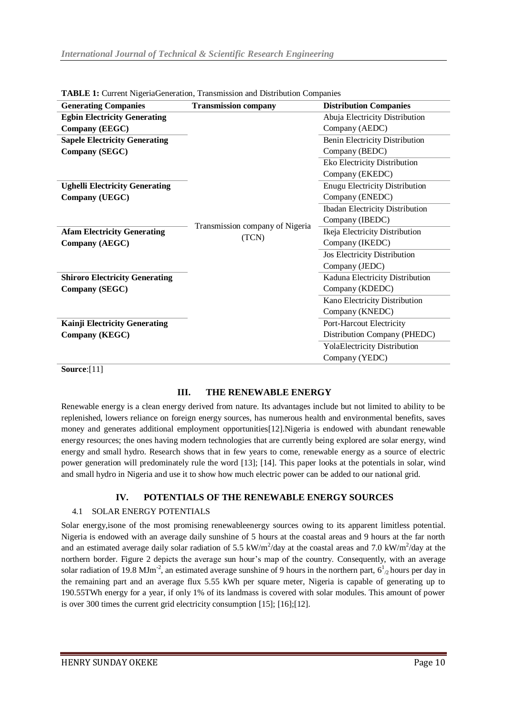| <b>Generating Companies</b><br><b>Transmission company</b><br><b>Distribution Companies</b> |  |
|---------------------------------------------------------------------------------------------|--|
| Abuja Electricity Distribution<br><b>Egbin Electricity Generating</b>                       |  |
| Company (AEDC)<br>Company (EEGC)                                                            |  |
| <b>Sapele Electricity Generating</b><br><b>Benin Electricity Distribution</b>               |  |
| Company (SEGC)<br>Company (BEDC)                                                            |  |
| Eko Electricity Distribution                                                                |  |
| Company (EKEDC)                                                                             |  |
| <b>Enugu Electricity Distribution</b><br><b>Ughelli Electricity Generating</b>              |  |
| Company (ENEDC)<br>Company (UEGC)                                                           |  |
| <b>Ibadan Electricity Distribution</b>                                                      |  |
| Company (IBEDC)<br>Transmission company of Nigeria                                          |  |
| Ikeja Electricity Distribution<br><b>Afam Electricity Generating</b><br>(TCN)               |  |
| Company (IKEDC)<br>Company (AEGC)                                                           |  |
| Jos Electricity Distribution                                                                |  |
| Company (JEDC)                                                                              |  |
| Kaduna Electricity Distribution<br><b>Shiroro Electricity Generating</b>                    |  |
| Company (KDEDC)<br>Company (SEGC)                                                           |  |
| Kano Electricity Distribution                                                               |  |
| Company (KNEDC)                                                                             |  |
| <b>Kainji Electricity Generating</b><br>Port-Harcout Electricity                            |  |
| <b>Company (KEGC)</b><br>Distribution Company (PHEDC)                                       |  |
| <b>YolaElectricity Distribution</b>                                                         |  |
| Company (YEDC)                                                                              |  |

**TABLE 1:** Current NigeriaGeneration, Transmission and Distribution Companies

**Source**:[11]

#### **III. THE RENEWABLE ENERGY**

Renewable energy is a clean energy derived from nature. Its advantages include but not limited to ability to be replenished, lowers reliance on foreign energy sources, has numerous health and environmental benefits, saves money and generates additional employment opportunities[12].Nigeria is endowed with abundant renewable energy resources; the ones having modern technologies that are currently being explored are solar energy, wind energy and small hydro. Research shows that in few years to come, renewable energy as a source of electric power generation will predominately rule the word [13]; [14]. This paper looks at the potentials in solar, wind and small hydro in Nigeria and use it to show how much electric power can be added to our national grid.

#### **IV. POTENTIALS OF THE RENEWABLE ENERGY SOURCES**

#### 4.1 SOLAR ENERGY POTENTIALS

Solar energy,isone of the most promising renewableenergy sources owing to its apparent limitless potential. Nigeria is endowed with an average daily sunshine of 5 hours at the coastal areas and 9 hours at the far north and an estimated average daily solar radiation of 5.5 kW/m<sup>2</sup>/day at the coastal areas and 7.0 kW/m<sup>2</sup>/day at the northern border. Figure 2 depicts the average sun hour's map of the country. Consequently, with an average solar radiation of 19.8 MJm<sup>-2</sup>, an estimated average sunshine of 9 hours in the northern part,  $6^1$ <sub>2</sub> hours per day in the remaining part and an average flux 5.55 kWh per square meter, Nigeria is capable of generating up to 190.55TWh energy for a year, if only 1% of its landmass is covered with solar modules. This amount of power is over 300 times the current grid electricity consumption [15]; [16];[12].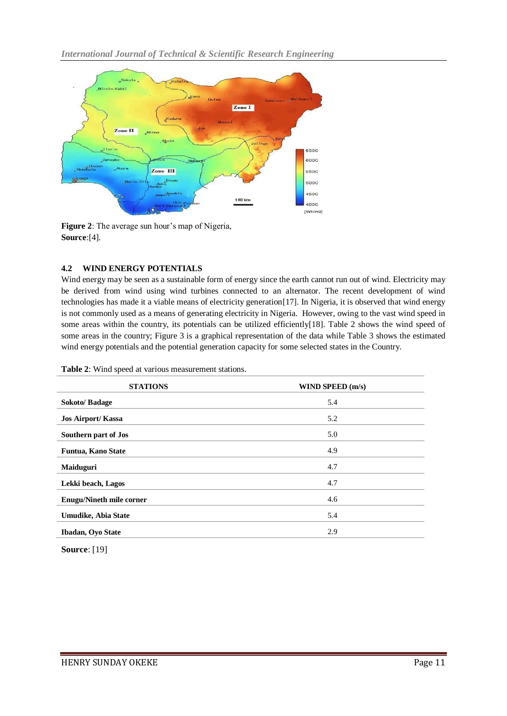

**Figure 2**: The average sun hour's map of Nigeria, **Source**:[4].

#### **4.2 WIND ENERGY POTENTIALS**

Wind energy may be seen as a sustainable form of energy since the earth cannot run out of wind. Electricity may be derived from wind using wind turbines connected to an alternator. The recent development of wind technologies has made it a viable means of electricity generation[17]. In Nigeria, it is observed that wind energy is not commonly used as a means of generating electricity in Nigeria. However, owing to the vast wind speed in some areas within the country, its potentials can be utilized efficiently[18]. Table 2 shows the wind speed of some areas in the country; Figure 3 is a graphical representation of the data while Table 3 shows the estimated wind energy potentials and the potential generation capacity for some selected states in the Country.

| <b>STATIONS</b>                 | WIND SPEED (m/s) |
|---------------------------------|------------------|
| <b>Sokoto/Badage</b>            | 5.4              |
| <b>Jos Airport/Kassa</b>        | 5.2              |
| Southern part of Jos            | 5.0              |
| <b>Funtua, Kano State</b>       | 4.9              |
| <b>Maiduguri</b>                | 4.7              |
| Lekki beach, Lagos              | 4.7              |
| <b>Enugu/Nineth mile corner</b> | 4.6              |
| <b>Umudike, Abia State</b>      | 5.4              |
| <b>Ibadan</b> , Oyo State       | 2.9              |
|                                 |                  |

**Table 2**: Wind speed at various measurement stations.

**Source**: [19]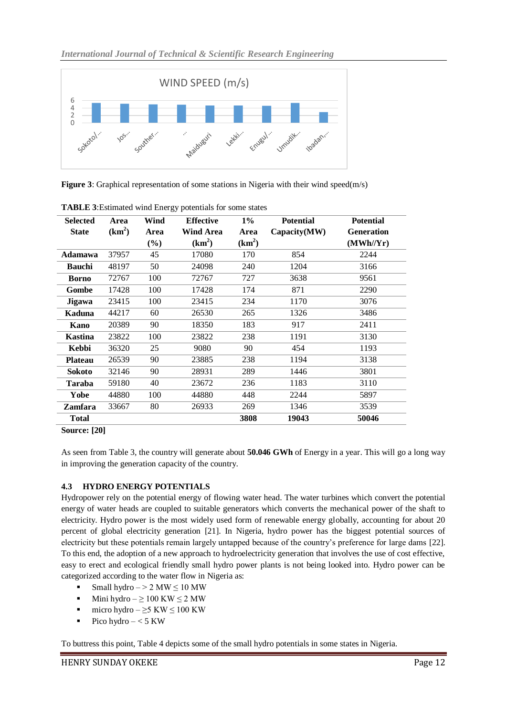

**Figure 3**: Graphical representation of some stations in Nigeria with their wind speed(m/s)

| <b>Selected</b> | Area     | Wind   | <b>Effective</b> | $1\%$    | <b>Potential</b> | <b>Potential</b> |
|-----------------|----------|--------|------------------|----------|------------------|------------------|
| <b>State</b>    | $(km^2)$ | Area   | <b>Wind Area</b> | Area     | Capacity(MW)     | Generation       |
|                 |          | $(\%)$ | $(km^2)$         | $(km^2)$ |                  | (MWh/Yr)         |
| Adamawa         | 37957    | 45     | 17080            | 170      | 854              | 2244             |
| <b>Bauchi</b>   | 48197    | 50     | 24098            | 240      | 1204             | 3166             |
| <b>Borno</b>    | 72767    | 100    | 72767            | 727      | 3638             | 9561             |
| Gombe           | 17428    | 100    | 17428            | 174      | 871              | 2290             |
| Jigawa          | 23415    | 100    | 23415            | 234      | 1170             | 3076             |
| Kaduna          | 44217    | 60     | 26530            | 265      | 1326             | 3486             |
| Kano            | 20389    | 90     | 18350            | 183      | 917              | 2411             |
| <b>Kastina</b>  | 23822    | 100    | 23822            | 238      | 1191             | 3130             |
| Kebbi           | 36320    | 25     | 9080             | 90       | 454              | 1193             |
| <b>Plateau</b>  | 26539    | 90     | 23885            | 238      | 1194             | 3138             |
| <b>Sokoto</b>   | 32146    | 90     | 28931            | 289      | 1446             | 3801             |
| <b>Taraba</b>   | 59180    | 40     | 23672            | 236      | 1183             | 3110             |
| Yobe            | 44880    | 100    | 44880            | 448      | 2244             | 5897             |
| <b>Zamfara</b>  | 33667    | 80     | 26933            | 269      | 1346             | 3539             |
| <b>Total</b>    |          |        |                  | 3808     | 19043            | 50046            |

**TABLE 3**:Estimated wind Energy potentials for some states

As seen from Table 3, the country will generate about **50.046 GWh** of Energy in a year. This will go a long way in improving the generation capacity of the country.

### **4.3 HYDRO ENERGY POTENTIALS**

Hydropower rely on the potential energy of flowing water head. The water turbines which convert the potential energy of water heads are coupled to suitable generators which converts the mechanical power of the shaft to electricity. Hydro power is the most widely used form of renewable energy globally, accounting for about 20 percent of global electricity generation [21]. In Nigeria, hydro power has the biggest potential sources of electricity but these potentials remain largely untapped because of the country's preference for large dams [22]. To this end, the adoption of a new approach to hydroelectricity generation that involves the use of cost effective, easy to erect and ecological friendly small hydro power plants is not being looked into. Hydro power can be categorized according to the water flow in Nigeria as:

- Small hydro  $-$  > 2 MW  $\leq$  10 MW
- $ext{Mini}$  hydro ≥ 100 KW ≤ 2 MW
- micro hydro  $\geq$ 5 KW ≤ 100 KW
- Pico hydro  $< 5$  KW

To buttress this point, Table 4 depicts some of the small hydro potentials in some states in Nigeria.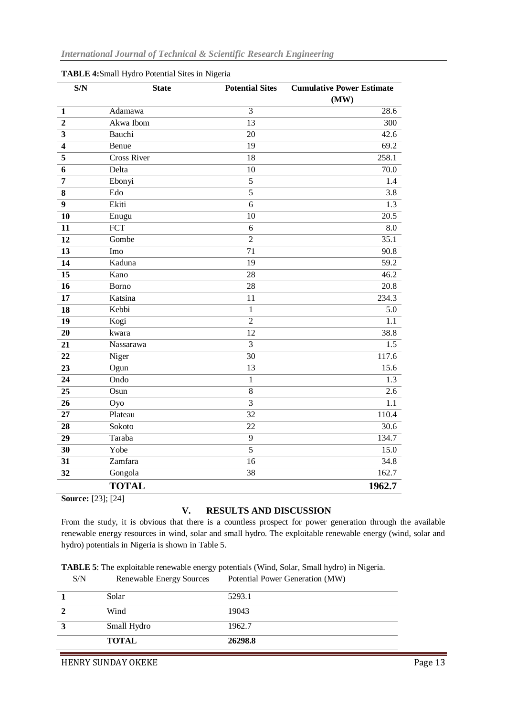| S/N                     | <b>State</b>       | <b>Potential Sites</b> | <b>Cumulative Power Estimate</b> |
|-------------------------|--------------------|------------------------|----------------------------------|
|                         |                    |                        | (MW)                             |
| $\mathbf{1}$            | Adamawa            | 3                      | 28.6                             |
| $\overline{2}$          | Akwa Ibom          | $\overline{13}$        | $\overline{300}$                 |
| $\overline{\mathbf{3}}$ | Bauchi             | 20                     | 42.6                             |
| $\overline{\mathbf{4}}$ | Benue              | $\overline{19}$        | 69.2                             |
| $\overline{\mathbf{5}}$ | <b>Cross River</b> | $\overline{18}$        | 258.1                            |
| 6                       | Delta              | 10                     | 70.0                             |
| $\overline{7}$          | Ebonyi             | $\overline{5}$         | 1.4                              |
| $\bf 8$                 | Edo                | $\overline{5}$         | 3.8                              |
| $\boldsymbol{9}$        | Ekiti              | $\overline{6}$         | $\overline{1.3}$                 |
| 10                      | Enugu              | 10                     | 20.5                             |
| 11                      | FCT                | 6                      | $\overline{8.0}$                 |
| 12                      | Gombe              | $\overline{2}$         | 35.1                             |
| $\overline{13}$         | Imo                | $\overline{71}$        | 90.8                             |
| 14                      | Kaduna             | $\overline{19}$        | $\overline{59.2}$                |
| $\overline{15}$         | Kano               | 28                     | 46.2                             |
| 16                      | Borno              | 28                     | 20.8                             |
| 17                      | Katsina            | 11                     | 234.3                            |
| 18                      | Kebbi              | $\mathbf{1}$           | 5.0                              |
| 19                      | Kogi               | $\overline{2}$         | 1.1                              |
| 20                      | kwara              | $\overline{12}$        | 38.8                             |
| 21                      | Nassarawa          | $\overline{3}$         | $\overline{1.5}$                 |
| 22                      | Niger              | $\overline{30}$        | 117.6                            |
| 23                      | Ogun               | 13                     | 15.6                             |
| 24                      | Ondo               | $\mathbf{1}$           | 1.3                              |
| 25                      | Osun               | 8                      | 2.6                              |
| 26                      | Oyo                | $\overline{3}$         | 1.1                              |
| 27                      | Plateau            | $\overline{32}$        | 110.4                            |
| 28                      | Sokoto             | 22                     | 30.6                             |
| 29                      | Taraba             | $\overline{9}$         | 134.7                            |
| 30                      | Yobe               | $\overline{5}$         | 15.0                             |
| 31                      | Zamfara            | $\overline{16}$        | 34.8                             |
| 32                      | Gongola            | 38                     | 162.7                            |
|                         | <b>TOTAL</b>       |                        | 1962.7                           |

|  | TABLE 4:Small Hydro Potential Sites in Nigeria |  |
|--|------------------------------------------------|--|
|  |                                                |  |

**Source:** [23]; [24]

#### **V. RESULTS AND DISCUSSION**

From the study, it is obvious that there is a countless prospect for power generation through the available renewable energy resources in wind, solar and small hydro. The exploitable renewable energy (wind, solar and hydro) potentials in Nigeria is shown in Table 5.

| S/N | Renewable Energy Sources | Potential Power Generation (MW) |
|-----|--------------------------|---------------------------------|
|     | Solar                    | 5293.1                          |
|     | Wind                     | 19043                           |
| 2   | Small Hydro              | 1962.7                          |
|     | <b>TOTAL</b>             | 26298.8                         |

HENRY SUNDAY OKEKE Page 13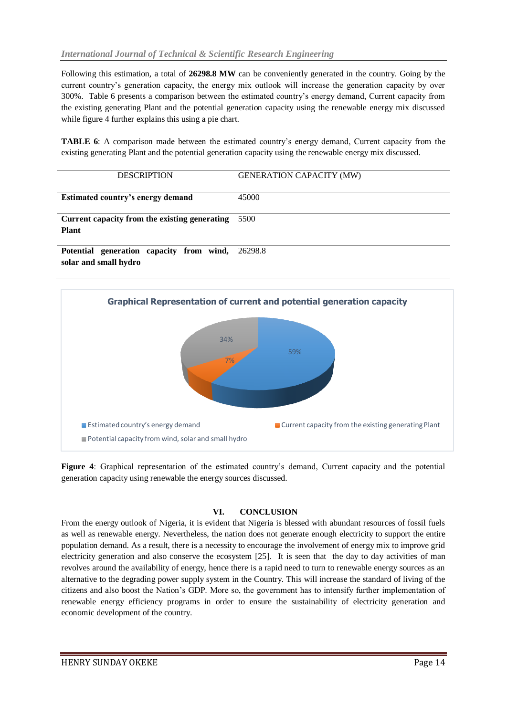Following this estimation, a total of **26298.8 MW** can be conveniently generated in the country. Going by the current country's generation capacity, the energy mix outlook will increase the generation capacity by over 300%. Table 6 presents a comparison between the estimated country's energy demand, Current capacity from the existing generating Plant and the potential generation capacity using the renewable energy mix discussed while figure 4 further explains this using a pie chart.

**TABLE 6**: A comparison made between the estimated country's energy demand, Current capacity from the existing generating Plant and the potential generation capacity using the renewable energy mix discussed.

| <b>DESCRIPTION</b>                            | <b>GENERATION CAPACITY (MW)</b> |
|-----------------------------------------------|---------------------------------|
| Estimated country's energy demand             | 45000                           |
| Current capacity from the existing generating | 5500                            |
| <b>Plant</b>                                  |                                 |
| Potential generation capacity from wind,      | 26298.8                         |

**solar and small hydro**



**Figure 4**: Graphical representation of the estimated country's demand, Current capacity and the potential generation capacity using renewable the energy sources discussed.

#### **VI. CONCLUSION**

From the energy outlook of Nigeria, it is evident that Nigeria is blessed with abundant resources of fossil fuels as well as renewable energy. Nevertheless, the nation does not generate enough electricity to support the entire population demand. As a result, there is a necessity to encourage the involvement of energy mix to improve grid electricity generation and also conserve the ecosystem [25]. It is seen that the day to day activities of man revolves around the availability of energy, hence there is a rapid need to turn to renewable energy sources as an alternative to the degrading power supply system in the Country. This will increase the standard of living of the citizens and also boost the Nation's GDP. More so, the government has to intensify further implementation of renewable energy efficiency programs in order to ensure the sustainability of electricity generation and economic development of the country.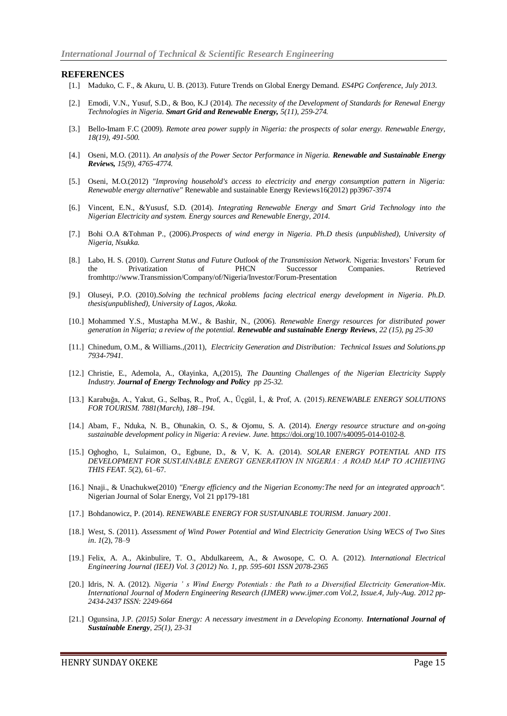#### **REFERENCES**

- [1.] Maduko, C. F., & Akuru, U. B. (2013). Future Trends on Global Energy Demand. *ES4PG Conference*, *July 2013*.
- [2.] Emodi, V.N., Yusuf, S.D., & Boo, K.J (2014)*. The necessity of the Development of Standards for Renewal Energy Technologies in Nigeria. Smart Grid and Renewable Energy, 5(11), 259-274.*
- [3.] Bello-Imam F.C (2009). *Remote area power supply in Nigeria: the prospects of solar energy. Renewable Energy, 18(19), 491-500.*
- [4.] Oseni, M.O. (2011). *An analysis of the Power Sector Performance in Nigeria. Renewable and Sustainable Energy Reviews, 15(9), 4765-4774.*
- [5.] Oseni, M.O.(2012) *"Improving household's access to electricity and energy consumption pattern in Nigeria: Renewable energy alternative"* Renewable and sustainable Energy Reviews16(2012) pp3967-3974
- [6.] Vincent, E.N., &Yususf, S.D. (2014). *Integrating Renewable Energy and Smart Grid Technology into the Nigerian Electricity and system. Energy sources and Renewable Energy, 2014.*
- [7.] Bohi O.A &Tohman P., (2006).*Prospects of wind energy in Nigeria. Ph.D thesis (unpublished), University of Nigeria, Nsukka.*
- [8.] Labo, H. S. (2010). *Current Status and Future Outlook of the Transmission Network.* Nigeria: Investors' Forum for the Privatization of PHCN Successor Companies. Retrieved fromhttp://www.Transmission/Company/of/Nigeria/Investor/Forum-Presentation
- [9.] Oluseyi, P.O. (2010).*Solving the technical problems facing electrical energy development in Nigeria. Ph.D. thesis(unpublished), University of Lagos, Akoka.*
- [10.] Mohammed Y.S., Mustapha M.W., & Bashir, N., (2006). *Renewable Energy resources for distributed power generation in Nigeria; a review of the potential. Renewable and sustainable Energy Reviews, 22 (15), pg 25-30*
- [11.] Chinedum, O.M., & Williams.,(2011), *Electricity Generation and Distribution: Technical Issues and Solutions.pp 7934-7941.*
- [12.] Christie, E., Ademola, A., Olayinka, A,(2015), *The Daunting Challenges of the Nigerian Electricity Supply Industry. Journal of Energy Technology and Policy pp 25-32.*
- [13.] Karabuğa, A., Yakut, G., Selbaş, R., Prof, A., Üçgül, İ., & Prof, A. (2015).*RENEWABLE ENERGY SOLUTIONS FOR TOURISM. 7881(March), 188–194.*
- [14.] Abam, F., Nduka, N. B., Ohunakin, O. S., & Ojomu, S. A. (2014). *Energy resource structure and on-going sustainable development policy in Nigeria: A review*. *June*[. https://doi.org/10.1007/s40095-014-0102-8.](https://doi.org/10.1007/s40095-014-0102-8)
- [15.] Oghogho, I., Sulaimon, O., Egbune, D., & V, K. A. (2014). *SOLAR ENERGY POTENTIAL AND ITS DEVELOPMENT FOR SUSTAINABLE ENERGY GENERATION IN NIGERIA : A ROAD MAP TO ACHIEVING THIS FEAT*. *5*(2), 61–67.
- [16.] Nnaji., & Unachukwe(2010) *"Energy efficiency and the Nigerian Economy:The need for an integrated approach".*  Nigerian Journal of Solar Energy, Vol 21 pp179-181
- [17.] Bohdanowicz, P. (2014). *RENEWABLE ENERGY FOR SUSTAINABLE TOURISM*. *January 2001*.
- [18.] West, S. (2011). *Assessment of Wind Power Potential and Wind Electricity Generation Using WECS of Two Sites in*. *1*(2), 78–9
- [19.] Felix, A. A., Akinbulire, T. O., Abdulkareem, A., & Awosope, C. O. A. (2012). *International Electrical Engineering Journal (IEEJ) Vol. 3 (2012) No. 1, pp. 595-601 ISSN 2078-2365*
- [20.] Idris, N. A. (2012). *Nigeria ' s Wind Energy Potentials : the Path to a Diversified Electricity Generation-Mix*. *International Journal of Modern Engineering Research (IJMER) www.ijmer.com Vol.2, Issue.4, July-Aug. 2012 pp-2434-2437 ISSN: 2249-664*
- [21.] Ogunsina, J.P. (2015) Solar Energy: A necessary investment in a Developing Economy. **International Journal of** *Sustainable Energy, 25(1), 23-31*